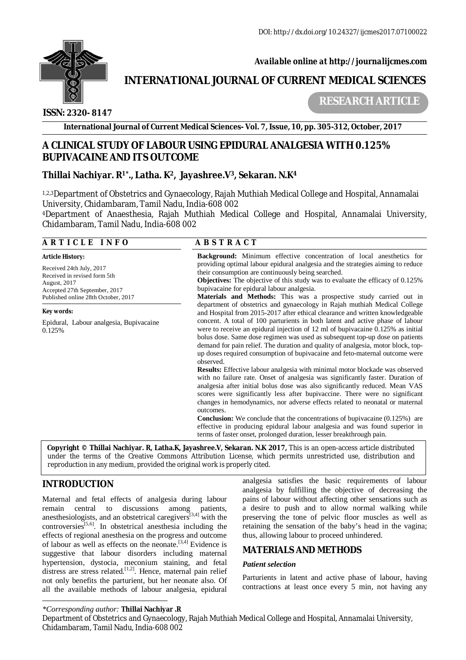

 *Available online at<http://journalijcmes.com>*

# **INTERNATIONAL JOURNAL OF CURRENT MEDICAL SCIENCES**

 **ISSN: 2320- 8147**

 **RESEARCH ARTICLE**

**International Journal of Current Medical Sciences- Vol. 7, Issue, 10, pp. 305-312, October, 2017**

# **A CLINICAL STUDY OF LABOUR USING EPIDURAL ANALGESIA WITH 0.125% BUPIVACAINE AND ITS OUTCOME**

# **Thillai Nachiyar. R1\* ., Latha. K2, Jayashree.V3, Sekaran. N.K<sup>4</sup>**

1,2,3Department of Obstetrics and Gynaecology, Rajah Muthiah Medical College and Hospital, Annamalai University, Chidambaram, Tamil Nadu, India-608 002

<sup>4</sup>Department of Anaesthesia, Rajah Muthiah Medical College and Hospital, Annamalai University, Chidambaram, Tamil Nadu, India-608 002

## **A R T I C L E I N F O A B S T R A C T**

Accepted 27th September, 2017

Epidural, Labour analgesia, Bupivacaine

*Article History:*  Received 24th July, 2017 Received in revised form 5th

August, 2017

*Key words:*

0.125%

Published online 28th October, 2017 **Background:** Minimum effective concentration of local anesthetics for providing optimal labour epidural analgesia and the strategies aiming to reduce their consumption are continuously being searched. **Objectives:** The objective of this study was to evaluate the efficacy of 0.125% bupivacaine for epidural labour analgesia. **Materials and Methods:** This was a prospective study carried out in department of obstetrics and gynaecology in Rajah muthiah Medical College

and Hospital from 2015-2017 after ethical clearance and written knowledgeable concent. A total of 100 parturients in both latent and active phase of labour were to receive an epidural injection of 12 ml of bupivacaine 0.125% as initial bolus dose. Same dose regimen was used as subsequent top-up dose on patients demand for pain relief. The duration and quality of analgesia, motor block, topup doses required consumption of bupivacaine and feto-maternal outcome were observed.

**Results:** Effective labour analgesia with minimal motor blockade was observed with no failure rate. Onset of analgesia was significantly faster. Duration of analgesia after initial bolus dose was also significantly reduced. Mean VAS scores were significantly less after bupivaccine. There were no significant changes in hemodynamics, nor adverse effects related to neonatal or maternal outcomes.

**Conclusion:** We conclude that the concentrations of bupivacaine (0.125%) are effective in producing epidural labour analgesia and was found superior in terms of faster onset, prolonged duration, lesser breakthrough pain.

**Copyright © Thillai Nachiyar. R, Latha.K, Jayashree.V, Sekaran. N.K 2017***,* This is an open-access article distributed under the terms of the Creative Commons Attribution License, which permits unrestricted use, distribution and reproduction in any medium, provided the original work is properly cited.

# **INTRODUCTION**

Maternal and fetal effects of analgesia during labour remain central to discussions among patients, anesthesiologists, and an obstetrical caregivers<sup>[3,4]</sup> with the controversies<sup>[5,6]</sup>. In obstetrical anesthesia including the effects of regional anesthesia on the progress and outcome of labour as well as effects on the neonate.[3,4] Evidence is suggestive that labour disorders including maternal hypertension, dystocia, meconium staining, and fetal distress are stress related.<sup>[1,2]</sup>. Hence, maternal pain relief not only benefits the parturient, but her neonate also. Of all the available methods of labour analgesia, epidural

analgesia satisfies the basic requirements of labour analgesia by fulfilling the objective of decreasing the pains of labour without affecting other sensations such as a desire to push and to allow normal walking while preserving the tone of pelvic floor muscles as well as retaining the sensation of the baby's head in the vagina; thus, allowing labour to proceed unhindered.

# **MATERIALS AND METHODS**

## *Patient selection*

Parturients in latent and active phase of labour, having contractions at least once every 5 min, not having any

*<sup>\*</sup>Corresponding author:* **Thillai Nachiyar .R**

Department of Obstetrics and Gynaecology, Rajah Muthiah Medical College and Hospital, Annamalai University, Chidambaram, Tamil Nadu, India-608 002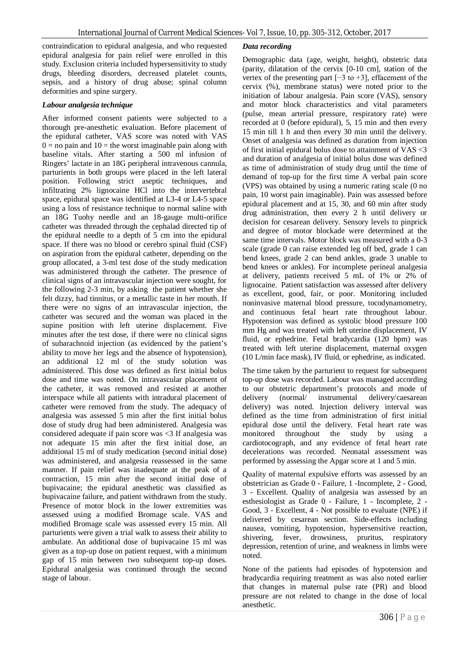contraindication to epidural analgesia, and who requested epidural analgesia for pain relief were enrolled in this study. Exclusion criteria included hypersensitivity to study drugs, bleeding disorders, decreased platelet counts, sepsis, and a history of drug abuse; spinal column deformities and spine surgery.

#### *Labour analgesia technique*

After informed consent patients were subjected to a thorough pre-anesthetic evaluation. Before placement of the epidural catheter, VAS score was noted with VAS  $0 =$  no pain and  $10 =$  the worst imaginable pain along with baseline vitals. After starting a 500 ml infusion of Ringers' lactate in an 18G peripheral intravenous cannula, parturients in both groups were placed in the left lateral position. Following strict aseptic techniques, and infiltrating 2% lignocaine HCl into the intervertebral space, epidural space was identified at L3-4 or L4-5 space using a loss of resistance technique to normal saline with an 18G Tuohy needle and an 18-gauge multi-orifice catheter was threaded through the cephalad directed tip of the epidural needle to a depth of 5 cm into the epidural space. If there was no blood or cerebro spinal fluid (CSF) on aspiration from the epidural catheter, depending on the group allocated, a 3-ml test dose of the study medication was administered through the catheter. The presence of clinical signs of an intravascular injection were sought, for the following 2-3 min, by asking the patient whether she felt dizzy, had tinnitus, or a metallic taste in her mouth. If there were no signs of an intravascular injection, the catheter was secured and the woman was placed in the supine position with left uterine displacement. Five minutes after the test dose, if there were no clinical signs of subarachnoid injection (as evidenced by the patient's ability to move her legs and the absence of hypotension), an additional 12 ml of the study solution was administered. This dose was defined as first initial bolus dose and time was noted. On intravascular placement of the catheter, it was removed and resisted at another interspace while all patients with intradural placement of catheter were removed from the study. The adequacy of analgesia was assessed 5 min after the first initial bolus dose of study drug had been administered. Analgesia was considered adequate if pain score was <3 If analgesia was not adequate 15 min after the first initial dose, an additional 15 ml of study medication (second initial dose) was administered, and analgesia reassessed in the same manner. If pain relief was inadequate at the peak of a contraction, 15 min after the second initial dose of bupivacaine; the epidural anesthetic was classified as bupivacaine failure, and patient withdrawn from the study. Presence of motor block in the lower extremities was assessed using a modified Bromage scale. VAS and modified Bromage scale was assessed every 15 min. All parturients were given a trial walk to assess their ability to ambulate. An additional dose of bupivacaine 15 ml was given as a top-up dose on patient request, with a minimum gap of 15 min between two subsequent top-up doses. Epidural analgesia was continued through the second stage of labour.

## *Data recording*

Demographic data (age, weight, height), obstetric data (parity, dilatation of the cervix [0-10 cm], station of the vertex of the presenting part [−3 to +3], effacement of the cervix (%), membrane status) were noted prior to the initiation of labour analgesia. Pain score (VAS), sensory and motor block characteristics and vital parameters (pulse, mean arterial pressure, respiratory rate) were recorded at 0 (before epidural), 5, 15 min and then every 15 min till 1 h and then every 30 min until the delivery. Onset of analgesia was defined as duration from injection of first initial epidural bolus dose to attainment of VAS <3 and duration of analgesia of initial bolus dose was defined as time of administration of study drug until the time of demand of top-up for the first time A verbal pain score (VPS) was obtained by using a numeric rating scale (0 no pain, 10 worst pain imaginable). Pain was assessed before epidural placement and at 15, 30, and 60 min after study drug administration, then every 2 h until delivery or decision for cesarean delivery. Sensory levels to pinprick and degree of motor blockade were determined at the same time intervals. Motor block was measured with a 0-3 scale (grade 0 can raise extended leg off bed, grade 1 can bend knees, grade 2 can bend ankles, grade 3 unable to bend knees or ankles). For incomplete perineal analgesia at delivery, patients received 5 mL of 1% or 2% of lignocaine. Patient satisfaction was assessed after delivery as excellent, good, fair, or poor. Monitoring included noninvasive maternal blood pressure, tocodynamometry, and continuous fetal heart rate throughout labour. Hypotension was defined as systolic blood pressure 100 mm Hg and was treated with left uterine displacement, IV fluid, or ephedrine. Fetal bradycardia (120 bpm) was treated with left uterine displacement, maternal oxygen (10 L/min face mask), IV fluid, or ephedrine, as indicated.

The time taken by the parturient to request for subsequent top-up dose was recorded. Labour was managed according to our obstetric department's protocols and mode of delivery (normal/ instrumental delivery/caesarean delivery) was noted. Injection delivery interval was defined as the time from administration of first initial epidural dose until the delivery. Fetal heart rate was monitored throughout the study by using a cardiotocograph, and any evidence of fetal heart rate decelerations was recorded. Neonatal assessment was performed by assessing the Apgar score at 1 and 5 min.

Quality of maternal expulsive efforts was assessed by an obstetrician as Grade 0 - Failure, 1 -Incomplete, 2 - Good, 3 - Excellent. Quality of analgesia was assessed by an esthesiologist as Grade 0 - Failure, 1 - Incomplete, 2 - Good, 3 - Excellent, 4 - Not possible to evaluate (NPE) if delivered by cesarean section. Side-effects including nausea, vomiting, hypotension, hypersensitive reaction, shivering, fever, drowsiness, pruritus, respiratory depression, retention of urine, and weakness in limbs were noted.

None of the patients had episodes of hypotension and bradycardia requiring treatment as was also noted earlier that changes in maternal pulse rate (PR) and blood pressure are not related to change in the dose of local anesthetic.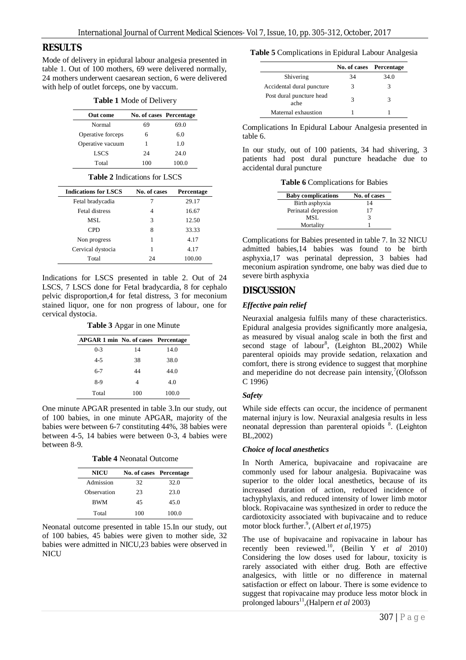## **RESULTS**

Mode of delivery in epidural labour analgesia presented in table 1. Out of 100 mothers, 69 were delivered normally, 24 mothers underwent caesarean section, 6 were delivered with help of outlet forceps, one by vaccum.

|  |  |  |  | <b>Table 1 Mode of Delivery</b> |
|--|--|--|--|---------------------------------|
|--|--|--|--|---------------------------------|

| Out come          | No. of cases Percentage |       |
|-------------------|-------------------------|-------|
| Normal            | 69                      | 69.0  |
| Operative forceps | 6                       | 6.0   |
| Operative vacuum  |                         | 1.0   |
| <b>LSCS</b>       | 24                      | 24.0  |
| Total             | 100                     | 100.0 |

#### **Table 2** Indications for LSCS

| <b>Indications for LSCS</b> | No. of cases | Percentage |
|-----------------------------|--------------|------------|
| Fetal bradycadia            |              | 29.17      |
| Fetal distress              | 4            | 16.67      |
| MSL.                        | 3            | 12.50      |
| <b>CPD</b>                  | 8            | 33.33      |
| Non progress                |              | 4.17       |
| Cervical dystocia           |              | 4.17       |
| Total                       | 24           | 100.00     |

Indications for LSCS presented in table 2. Out of 24 LSCS, 7 LSCS done for Fetal bradycardia, 8 for cephalo pelvic disproportion,4 for fetal distress, 3 for meconium stained liquor, one for non progress of labour, one for cervical dystocia.

**Table 3** Apgar in one Minute

| APGAR 1 min No. of cases Percentage |     |       |
|-------------------------------------|-----|-------|
| $0 - 3$                             | 14  | 14.0  |
| $4 - 5$                             | 38  | 38.0  |
| $6 - 7$                             | 44  | 44.0  |
| 8-9                                 | 4   | 4.0   |
| Total                               | 100 | 100.0 |

One minute APGAR presented in table 3.In our study, out of 100 babies, in one minute APGAR, majority of the babies were between 6-7 constituting 44%, 38 babies were between 4-5, 14 babies were between 0-3, 4 babies were between 8-9.

|  | <b>Table 4 Neonatal Outcome</b> |  |
|--|---------------------------------|--|
|--|---------------------------------|--|

| <b>NICU</b> | No. of cases Percentage |       |
|-------------|-------------------------|-------|
| Admission   | 32                      | 32.0  |
| Observation | 23                      | 23.0  |
| BWM         | 45                      | 45.0  |
| Total       | 100                     | 100.0 |

Neonatal outcome presented in table 15.In our study, out of 100 babies, 45 babies were given to mother side, 32 babies were admitted in NICU,23 babies were observed in **NICU** 

**Table 5** Complications in Epidural Labour Analgesia

|                                  | No. of cases | Percentage |
|----------------------------------|--------------|------------|
| Shivering                        | 34           | 34.0       |
| Accidental dural puncture        | 3            | 3          |
| Post dural puncture head<br>ache | 3            | 3          |
| Maternal exhaustion              |              |            |

Complications In Epidural Labour Analgesia presented in table 6.

In our study, out of 100 patients, 34 had shivering, 3 patients had post dural puncture headache due to accidental dural puncture

**Table 6** Complications for Babies

| <b>Baby complications</b> | No. of cases |
|---------------------------|--------------|
| Birth asphyxia            | 14           |
| Perinatal depression      | 17           |
| MSL                       | 3            |
| Mortality                 |              |

Complications for Babies presented in table 7. In 32 NICU admitted babies,14 babies was found to be birth asphyxia,17 was perinatal depression, 3 babies had meconium aspiration syndrome, one baby was died due to severe birth asphyxia

# **DISCUSSION**

## *Effective pain relief*

Neuraxial analgesia fulfils many of these characteristics. Epidural analgesia provides significantly more analgesia, as measured by visual analog scale in both the first and second stage of labour<sup>8</sup>, (Leighton BL,2002) While parenteral opioids may provide sedation, relaxation and comfort, there is strong evidence to suggest that morphine and meperidine do not decrease pain intensity, $7$ (Olofsson C 1996)

#### *Safety*

While side effects can occur, the incidence of permanent maternal injury is low. Neuraxial analgesia results in less neonatal depression than parenteral opioids <sup>8</sup>. (Leighton BL,2002)

#### *Choice of local anesthetics*

In North America, bupivacaine and ropivacaine are commonly used for labour analgesia. Bupivacaine was superior to the older local anesthetics, because of its increased duration of action, reduced incidence of tachyphylaxis, and reduced intensity of lower limb motor block. Ropivacaine was synthesized in order to reduce the cardiotoxicity associated with bupivacaine and to reduce motor block further.<sup>9</sup>, (Albert *et al*, 1975)

The use of bupivacaine and ropivacaine in labour has recently been reviewed.<sup>10</sup>, (Beilin Y *et al* 2010) Considering the low doses used for labour, toxicity is rarely associated with either drug. Both are effective analgesics, with little or no difference in maternal satisfaction or effect on labour. There is some evidence to suggest that ropivacaine may produce less motor block in prolonged labours<sup>11</sup>, (Halpern *et al* 2003)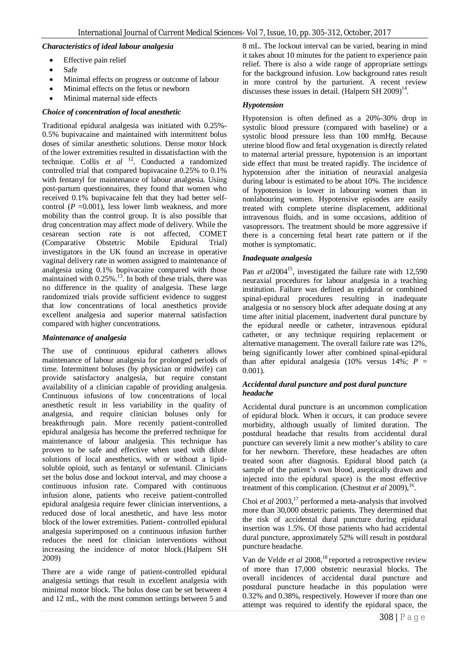#### *Characteristics of ideal labour analgesia*

- Effective pain relief
- Safe
- Minimal effects on progress or outcome of labour
- Minimal effects on the fetus or newborn
- Minimal maternal side effects

#### *Choice of concentration of local anesthetic*

Traditional epidural analgesia was initiated with 0.25%- 0.5% bupivacaine and maintained with intermittent bolus doses of similar anesthetic solutions. Dense motor block of the lower extremities resulted in dissatisfaction with the technique. Collis *et al* <sup>12</sup>. Conducted a randomized controlled trial that compared bupivacaine 0.25% to 0.1% with fentanyl for maintenance of labour analgesia. Using post-partum questionnaires, they found that women who received 0.1% bupivacaine felt that they had better selfcontrol  $(P = 0.001)$ , less lower limb weakness, and more mobility than the control group. It is also possible that drug concentration may affect mode of delivery. While the cesarean section rate is not affected, COMET (Comparative Obstetric Mobile Epidural Trial) investigators in the UK found an increase in operative vaginal delivery rate in women assigned to maintenance of analgesia using 0.1% bupivacaine compared with those maintained with 0.25%.<sup>13</sup>. In both of these trials, there was no difference in the quality of analgesia. These large randomized trials provide sufficient evidence to suggest that low concentrations of local anesthetics provide excellent analgesia and superior maternal satisfaction compared with higher concentrations.

#### *Maintenance of analgesia*

The use of continuous epidural catheters allows maintenance of labour analgesia for prolonged periods of time. Intermittent boluses (by physician or midwife) can provide satisfactory analgesia, but require constant availability of a clinician capable of providing analgesia. Continuous infusions of low concentrations of local anesthetic result in less variability in the quality of analgesia, and require clinician boluses only for breakthrough pain. More recently patient-controlled epidural analgesia has become the preferred technique for maintenance of labour analgesia. This technique has proven to be safe and effective when used with dilute solutions of local anesthetics, with or without a lipidsoluble opioid, such as fentanyl or sufentanil. Clinicians set the bolus dose and lockout interval, and may choose a continuous infusion rate. Compared with continuous infusion alone, patients who receive patient-controlled epidural analgesia require fewer clinician interventions, a reduced dose of local anesthetic, and have less motor block of the lower extremities. Patient- controlled epidural analgesia superimposed on a continuous infusion further reduces the need for clinician interventions without increasing the incidence of motor block.(Halpern SH 2009)

There are a wide range of patient-controlled epidural analgesia settings that result in excellent analgesia with minimal motor block. The bolus dose can be set between 4 and 12 mL, with the most common settings between 5 and

8 mL. The lockout interval can be varied, bearing in mind it takes about 10 minutes for the patient to experience pain relief. There is also a wide range of appropriate settings for the background infusion. Low background rates result in more control by the parturient. A recent review discusses these issues in detail. (Halpern SH  $2009$ )<sup>14</sup>.

#### *Hypotension*

Hypotension is often defined as a 20%-30% drop in systolic blood pressure (compared with baseline) or a systolic blood pressure less than 100 mmHg. Because uterine blood flow and fetal oxygenation is directly related to maternal arterial pressure, hypotension is an important side effect that must be treated rapidly. The incidence of hypotension after the initiation of neuraxial analgesia during labour is estimated to be about 10%. The incidence of hypotension is lower in labouring women than in nonlabouring women. Hypotensive episodes are easily treated with complete uterine displacement, additional intravenous fluids, and in some occasions, addition of vasopressors. The treatment should be more aggressive if there is a concerning fetal heart rate pattern or if the mother is symptomatic.

#### *Inadequate analgesia*

Pan *et al* 2004<sup>15</sup>, investigated the failure rate with 12,590 neuraxial procedures for labour analgesia in a teaching institution. Failure was defined as epidural or combined spinal-epidural procedures resulting in inadequate analgesia or no sensory block after adequate dosing at any time after initial placement, inadvertent dural puncture by the epidural needle or catheter, intravenous epidural catheter, or any technique requiring replacement or alternative management. The overall failure rate was 12%, being significantly lower after combined spinal-epidural than after epidural analgesia  $(10\% \text{ versus } 14\%; P =$ 0.001).

#### *Accidental dural puncture and post dural puncture headache*

Accidental dural puncture is an uncommon complication of epidural block. When it occurs, it can produce severe morbidity, although usually of limited duration. The postdural headache that results from accidental dural puncture can severely limit a new mother's ability to care for her newborn. Therefore, these headaches are often treated soon after diagnosis. Epidural blood patch (a sample of the patient's own blood, aseptically drawn and injected into the epidural space) is the most effective treatment of this complication. (Chestnut *et al* 2009),<sup>16</sup>.

Choi *et al* 2003,<sup>17</sup> performed a meta-analysis that involved more than 30,000 obstetric patients. They determined that the risk of accidental dural puncture during epidural insertion was 1.5%. Of those patients who had accidental dural puncture, approximately 52% will result in postdural puncture headache.

Van de Velde *et al* 2008,<sup>18</sup> reported a retrospective review of more than 17,000 obstetric neuraxial blocks. The overall incidences of accidental dural puncture and postdural puncture headache in this population were 0.32% and 0.38%, respectively. However if more than one attempt was required to identify the epidural space, the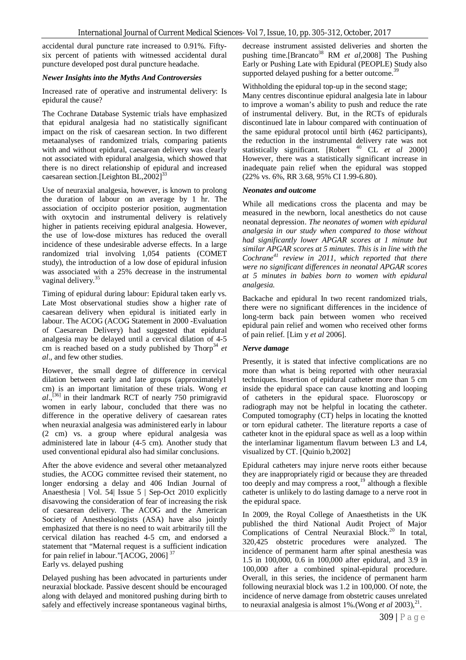accidental dural puncture rate increased to 0.91%. Fiftysix percent of patients with witnessed accidental dural puncture developed post dural puncture headache.

#### *Newer Insights into the Myths And Controversies*

Increased rate of operative and instrumental delivery: Is epidural the cause?

The Cochrane Database Systemic trials have emphasized that epidural analgesia had no statistically significant impact on the risk of caesarean section. In two different metaanalyses of randomized trials, comparing patients with and without epidural, caesarean delivery was clearly not associated with epidural analgesia, which showed that there is no direct relationship of epidural and increased caesarean section.<sup>[Leighton BL,2002]<sup>33</sup></sup>

Use of neuraxial analgesia, however, is known to prolong the duration of labour on an average by 1 hr. The association of occipito posterior position, augmentation with oxytocin and instrumental delivery is relatively higher in patients receiving epidural analgesia. However, the use of low-dose mixtures has reduced the overall incidence of these undesirable adverse effects. In a large randomized trial involving 1,054 patients (COMET study), the introduction of a low dose of epidural infusion was associated with a 25% decrease in the instrumental vaginal delivery.<sup>35</sup>

Timing of epidural during labour: Epidural taken early vs. Late Most observational studies show a higher rate of caesarean delivery when epidural is initiated early in labour. The ACOG (ACOG Statement in 2000 -Evaluation of Caesarean Delivery) had suggested that epidural analgesia may be delayed until a cervical dilation of 4-5 cm is reached based on a study published by Thorp<sup>34</sup> *et al*., and few other studies.

However, the small degree of difference in cervical dilation between early and late groups (approximately1 cm) is an important limitation of these trials. Wong *et al*., [36] in their landmark RCT of nearly 750 primigravid women in early labour, concluded that there was no difference in the operative delivery of caesarean rates when neuraxial analgesia was administered early in labour (2 cm) vs. a group where epidural analgesia was administered late in labour (4-5 cm). Another study that used conventional epidural also had similar conclusions.

After the above evidence and several other metaanalyzed studies, the ACOG committee revised their statement, no longer endorsing a delay and 406 Indian Journal of Anaesthesia | Vol. 54| Issue 5 | Sep-Oct 2010 explicitly disavowing the consideration of fear of increasing the risk of caesarean delivery. The ACOG and the American Society of Anesthesiologists (ASA) have also jointly emphasized that there is no need to wait arbitrarily till the cervical dilation has reached 4-5 cm, and endorsed a statement that "Maternal request is a sufficient indication for pain relief in labour."[ACOG, 2006] <sup>37</sup> Early vs. delayed pushing

Delayed pushing has been advocated in parturients under neuraxial blockade. Passive descent should be encouraged along with delayed and monitored pushing during birth to safely and effectively increase spontaneous vaginal births,

decrease instrument assisted deliveries and shorten the pushing time.<sup>[Brancato<sup>38</sup> RM *et al.* 2008] The Pushing</sup> Early or Pushing Late with Epidural (PEOPLE) Study also supported delayed pushing for a better outcome.<sup>39</sup>

Withholding the epidural top-up in the second stage;

Many centres discontinue epidural analgesia late in labour to improve a woman's ability to push and reduce the rate of instrumental delivery. But, in the RCTs of epidurals discontinued late in labour compared with continuation of the same epidural protocol until birth (462 participants), the reduction in the instrumental delivery rate was not statistically significant. [Robert <sup>40</sup> CL *et al* 2000] However, there was a statistically significant increase in inadequate pain relief when the epidural was stopped (22% vs. 6%, RR 3.68, 95% CI 1.99-6.80).

# *Neonates and outcome*

While all medications cross the placenta and may be measured in the newborn, local anesthetics do not cause neonatal depression. *The neonates of women with epidural analgesia in our study when compared to those without had significantly lower APGAR scores at 1 minute but similar APGAR scores at 5 minutes. This is in line with the Cochrane<sup>41</sup> review in 2011, which reported that there were no significant differences in neonatal APGAR scores at 5 minutes in babies born to women with epidural analgesia.*

Backache and epidural In two recent randomized trials, there were no significant differences in the incidence of long-term back pain between women who received epidural pain relief and women who received other forms of pain relief. [Lim y *et al* 2006].

## *Nerve damage*

Presently, it is stated that infective complications are no more than what is being reported with other neuraxial techniques. Insertion of epidural catheter more than 5 cm inside the epidural space can cause knotting and looping of catheters in the epidural space. Fluoroscopy or radiograph may not be helpful in locating the catheter. Computed tomography (CT) helps in locating the knotted or torn epidural catheter. The literature reports a case of catheter knot in the epidural space as well as a loop within the interlaminar ligamentum flavum between L3 and L4, visualized by CT. [Quinio b,2002]

Epidural catheters may injure nerve roots either because they are inappropriately rigid or because they are threaded too deeply and may compress a root,<sup>19</sup> although a flexible catheter is unlikely to do lasting damage to a nerve root in the epidural space.

In 2009, the Royal College of Anaesthetists in the UK published the third National Audit Project of Major Complications of Central Neuraxial Block.<sup>20</sup> In total, 320,425 obstetric procedures were analyzed. The incidence of permanent harm after spinal anesthesia was 1.5 in 100,000, 0.6 in 100,000 after epidural, and 3.9 in 100,000 after a combined spinal-epidural procedure. Overall, in this series, the incidence of permanent harm following neuraxial block was 1.2 in 100,000. Of note, the incidence of nerve damage from obstetric causes unrelated to neuraxial analgesia is almost 1%.(Wong *et al* 2003),<sup>21</sup>.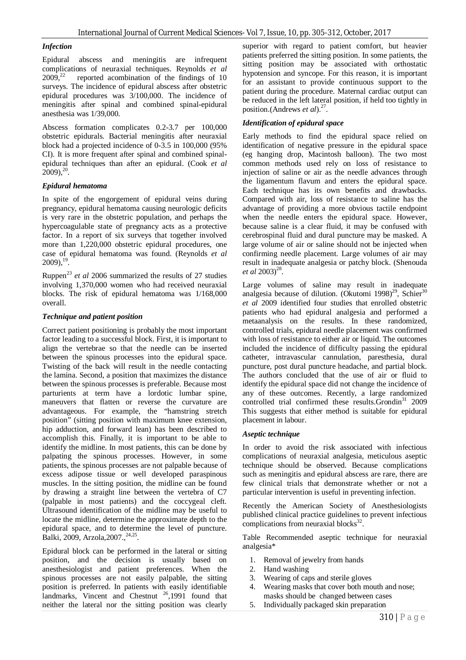#### *Infection*

Epidural abscess and meningitis are infrequent complications of neuraxial techniques. Reynolds *et al*  $2009^{22}$  reported acombination of the findings of 10 surveys. The incidence of epidural abscess after obstetric epidural procedures was 3/100,000. The incidence of meningitis after spinal and combined spinal-epidural anesthesia was 1/39,000.

Abscess formation complicates 0.2-3.7 per 100,000 obstetric epidurals. Bacterial meningitis after neuraxial block had a projected incidence of 0-3.5 in 100,000 (95% CI). It is more frequent after spinal and combined spinalepidural techniques than after an epidural. (Cook *et al*  $2009$ <sup>20</sup>.

## *Epidural hematoma*

In spite of the engorgement of epidural veins during pregnancy, epidural hematoma causing neurologic deficits is very rare in the obstetric population, and perhaps the hypercoagulable state of pregnancy acts as a protective factor. In a report of six surveys that together involved more than 1,220,000 obstetric epidural procedures, one case of epidural hematoma was found. (Reynolds *et al*  $2009$ ),  $^{19}$ .

Ruppen<sup>23</sup> *et al* 2006 summarized the results of 27 studies involving 1,370,000 women who had received neuraxial blocks. The risk of epidural hematoma was 1/168,000 overall.

#### *Technique and patient position*

Correct patient positioning is probably the most important factor leading to a successful block. First, it is important to align the vertebrae so that the needle can be inserted between the spinous processes into the epidural space. Twisting of the back will result in the needle contacting the lamina. Second, a position that maximizes the distance between the spinous processes is preferable. Because most parturients at term have a lordotic lumbar spine, maneuvers that flatten or reverse the curvature are advantageous. For example, the "hamstring stretch position" (sitting position with maximum knee extension, hip adduction, and forward lean) has been described to accomplish this. Finally, it is important to be able to identify the midline. In most patients, this can be done by palpating the spinous processes. However, in some patients, the spinous processes are not palpable because of excess adipose tissue or well developed paraspinous muscles. In the sitting position, the midline can be found by drawing a straight line between the vertebra of C7 (palpable in most patients) and the coccygeal cleft. Ultrasound identification of the midline may be useful to locate the midline, determine the approximate depth to the epidural space, and to determine the level of puncture. Balki, 2009, Arzola, 2007., <sup>24, 25</sup>.

Epidural block can be performed in the lateral or sitting position, and the decision is usually based on anesthesiologist and patient preferences. When the spinous processes are not easily palpable, the sitting position is preferred. In patients with easily identifiable landmarks, Vincent and Chestnut  $26,1991$  found that neither the lateral nor the sitting position was clearly

superior with regard to patient comfort, but heavier patients preferred the sitting position. In some patients, the sitting position may be associated with orthostatic hypotension and syncope. For this reason, it is important for an assistant to provide continuous support to the patient during the procedure. Maternal cardiac output can be reduced in the left lateral position, if held too tightly in position.(Andrews *et al*).<sup>27</sup>.

## *Identification of epidural space*

Early methods to find the epidural space relied on identification of negative pressure in the epidural space (eg hanging drop, Macintosh balloon). The two most common methods used rely on loss of resistance to injection of saline or air as the needle advances through the ligamentum flavum and enters the epidural space. Each technique has its own benefits and drawbacks. Compared with air, loss of resistance to saline has the advantage of providing a more obvious tactile endpoint when the needle enters the epidural space. However, because saline is a clear fluid, it may be confused with cerebrospinal fluid and dural puncture may be masked. A large volume of air or saline should not be injected when confirming needle placement. Large volumes of air may result in inadequate analgesia or patchy block. (Shenouda *et al* 2003)<sup>28</sup>.

Large volumes of saline may result in inadequate analgesia because of dilution. (Okutomi 1998)<sup>29</sup>, Schier<sup>30</sup> *et al* 2009 identified four studies that enrolled obstetric patients who had epidural analgesia and performed a metaanalysis on the results. In these randomized, controlled trials, epidural needle placement was confirmed with loss of resistance to either air or liquid. The outcomes included the incidence of difficulty passing the epidural catheter, intravascular cannulation, paresthesia, dural puncture, post dural puncture headache, and partial block. The authors concluded that the use of air or fluid to identify the epidural space did not change the incidence of any of these outcomes. Recently, a large randomized controlled trial confirmed these results.Grondin<sup>31</sup> 2009 This suggests that either method is suitable for epidural placement in labour.

#### *Aseptic technique*

In order to avoid the risk associated with infectious complications of neuraxial analgesia, meticulous aseptic technique should be observed. Because complications such as meningitis and epidural abscess are rare, there are few clinical trials that demonstrate whether or not a particular intervention is useful in preventing infection.

Recently the American Society of Anesthesiologists published clinical practice guidelines to prevent infectious complications from neuraxial blocks $32$ .

Table Recommended aseptic technique for neuraxial analgesia\*

- 1. Removal of jewelry from hands
- 2. Hand washing
- 3. Wearing of caps and sterile gloves
- 4. Wearing masks that cover both mouth and nose; masks should be changed between cases
- 5. Individually packaged skin preparation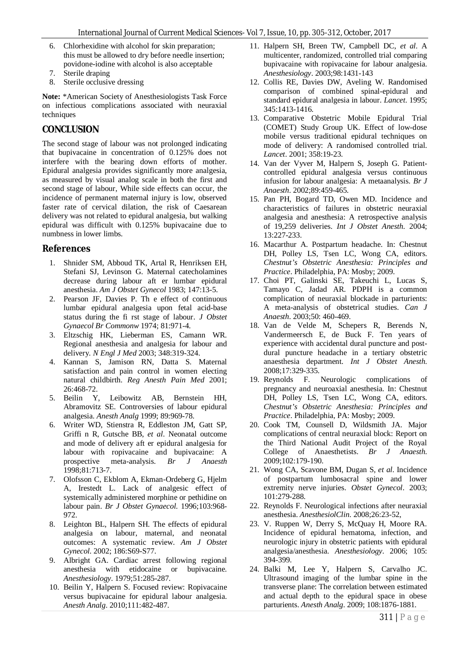- 6. Chlorhexidine with alcohol for skin preparation; this must be allowed to dry before needle insertion; povidone-iodine with alcohol is also acceptable
- 7. Sterile draping
- 8. Sterile occlusive dressing

**Note:** \*American Society of Anesthesiologists Task Force on infectious complications associated with neuraxial techniques

# **CONCLUSION**

The second stage of labour was not prolonged indicating that bupivacaine in concentration of 0.125% does not interfere with the bearing down efforts of mother. Epidural analgesia provides significantly more analgesia, as measured by visual analog scale in both the first and second stage of labour, While side effects can occur, the incidence of permanent maternal injury is low, observed faster rate of cervical dilation, the risk of Caesarean delivery was not related to epidural analgesia, but walking epidural was difficult with 0.125% bupivacaine due to numbness in lower limbs.

## **References**

- 1. Shnider SM, Abboud TK, Artal R, Henriksen EH, Stefani SJ, Levinson G. Maternal catecholamines decrease during labour aft er lumbar epidural anesthesia. *Am J Obstet Gynecol* 1983; 147:13-5.
- 2. Pearson JF, Davies P. Th e effect of continuous lumbar epidural analgesia upon fetal acid-base status during the fi rst stage of labour. *J Obstet Gynaecol Br Commonw* 1974; 81:971-4.
- 3. Eltzschig HK, Lieberman ES, Camann WR. Regional anesthesia and analgesia for labour and delivery. *N Engl J Med* 2003; 348:319-324.
- 4. Kannan S, Jamison RN, Datta S. Maternal satisfaction and pain control in women electing natural childbirth. *Reg Anesth Pain Med* 2001; 26:468-72.
- 5. Beilin Y, Leibowitz AB, Bernstein HH, Abramovitz SE. Controversies of labour epidural analgesia. *Anesth Analg* 1999; 89:969-78.
- 6. Writer WD, Stienstra R, Eddleston JM, Gatt SP, Griffi n R, Gutsche BB, *et al*. Neonatal outcome and mode of delivery aft er epidural analgesia for labour with ropivacaine and bupivacaine: A prospective meta-analysis. *Br J Anaesth* 1998;81:713-7.
- 7. Olofsson C, Ekblom A, Ekman-Ordeberg G, Hjelm A, Irestedt L. Lack of analgesic effect of systemically administered morphine or pethidine on labour pain. *Br J Obstet Gynaecol*. 1996;103:968- 972.
- 8. Leighton BL, Halpern SH. The effects of epidural analgesia on labour, maternal, and neonatal outcomes: A systematic review. *Am J Obstet Gynecol*. 2002; 186:S69-S77.
- 9. Albright GA. Cardiac arrest following regional anesthesia with etidocaine or bupivacaine. *Anesthesiology*. 1979;51:285-287.
- 10. Beilin Y, Halpern S. Focused review: Ropivacaine versus bupivacaine for epidural labour analgesia. *Anesth Analg*. 2010;111:482-487.
- 11. Halpern SH, Breen TW, Campbell DC, *et al*. A multicenter, randomized, controlled trial comparing bupivacaine with ropivacaine for labour analgesia. *Anesthesiology*. 2003;98:1431-143
- 12. Collis RE, Davies DW, Aveling W. Randomised comparison of combined spinal-epidural and standard epidural analgesia in labour. *Lancet*. 1995; 345:1413-1416.
- 13. Comparative Obstetric Mobile Epidural Trial (COMET) Study Group UK. Effect of low-dose mobile versus traditional epidural techniques on mode of delivery: A randomised controlled trial. *Lancet*. 2001; 358:19-23.
- 14. Van der Vyver M, Halpern S, Joseph G. Patientcontrolled epidural analgesia versus continuous infusion for labour analgesia: A metaanalysis. *Br J Anaesth*. 2002;89:459-465.
- 15. Pan PH, Bogard TD, Owen MD. Incidence and characteristics of failures in obstetric neuraxial analgesia and anesthesia: A retrospective analysis of 19,259 deliveries. *Int J Obstet Anesth*. 2004; 13:227-233.
- 16. Macarthur A. Postpartum headache. In: Chestnut DH, Polley LS, Tsen LC, Wong CA, editors. *Chestnut's Obstetric Anesthesia: Principles and Practice*. Philadelphia, PA: Mosby; 2009.
- 17. Choi PT, Galinski SE, Takeuchi L, Lucas S, Tamayo C, Jadad AR. PDPH is a common complication of neuraxial blockade in parturients: A meta-analysis of obstetrical studies. *Can J Anaesth*. 2003;50: 460-469.
- 18. Van de Velde M, Schepers R, Berends N, Vandermeersch E, de Buck F. Ten years of experience with accidental dural puncture and postdural puncture headache in a tertiary obstetric anaesthesia department. *Int J Obstet Anesth*. 2008;17:329-335.
- 19. Reynolds F. Neurologic complications of pregnancy and neuroaxial anesthesia. In: Chestnut DH, Polley LS, Tsen LC, Wong CA, editors. *Chestnut's Obstetric Anesthesia: Principles and Practice*. Philadelphia, PA: Mosby; 2009.
- 20. Cook TM, Counsell D, Wildsmith JA. Major complications of central neuraxial block: Report on the Third National Audit Project of the Royal College of Anaesthetists. *Br J Anaesth*. 2009;102:179-190.
- 21. Wong CA, Scavone BM, Dugan S, *et al*. Incidence of postpartum lumbosacral spine and lower extremity nerve injuries. *Obstet Gynecol*. 2003; 101:279-288.
- 22. Reynolds F. Neurological infections after neuraxial anesthesia. *AnesthesiolClin*. 2008;26:23-52,
- 23. V. Ruppen W, Derry S, McQuay H, Moore RA. Incidence of epidural hematoma, infection, and neurologic injury in obstetric patients with epidural analgesia/anesthesia. *Anesthesiology*. 2006; 105: 394-399.
- 24. Balki M, Lee Y, Halpern S, Carvalho JC. Ultrasound imaging of the lumbar spine in the transverse plane: The correlation between estimated and actual depth to the epidural space in obese parturients. *Anesth Analg*. 2009; 108:1876-1881.